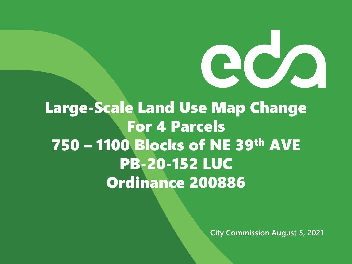

Large-Scale Land Use Map Change For 4 Parcels 750 – 1100 Blocks of NE 39th AVE PB-20-152 LUC Ordinance 200886

**City Commission August 5, 2021**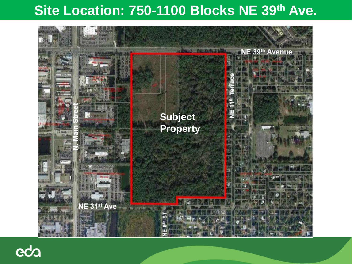#### **Site Location: 750-1100 Blocks NE 39th Ave.**



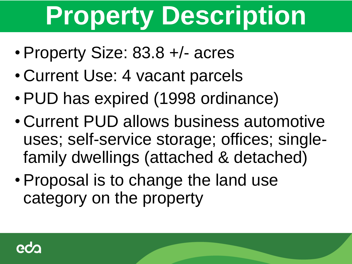# **Property Description**

- Property Size: 83.8 +/- acres
- Current Use: 4 vacant parcels
- PUD has expired (1998 ordinance)
- Current PUD allows business automotive uses; self-service storage; offices; singlefamily dwellings (attached & detached)
- Proposal is to change the land use category on the property

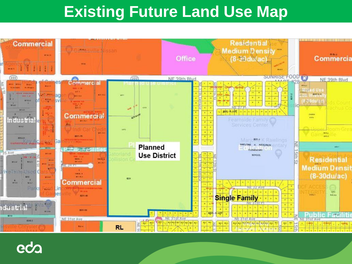#### **Existing Future Land Use Map**



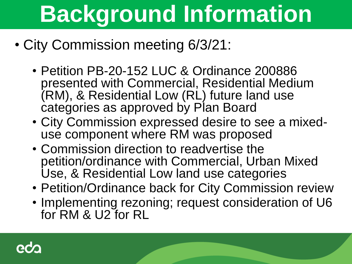# **Background Information**

- City Commission meeting 6/3/21:
	- Petition PB-20-152 LUC & Ordinance 200886 presented with Commercial, Residential Medium (RM), & Residential Low (RL) future land use categories as approved by Plan Board
	- City Commission expressed desire to see a mixeduse component where RM was proposed
	- Commission direction to readvertise the petition/ordinance with Commercial, Urban Mixed Use, & Residential Low land use categories
	- Petition/Ordinance back for City Commission review
	- Implementing rezoning; request consideration of U6 for RM & U2 for RL

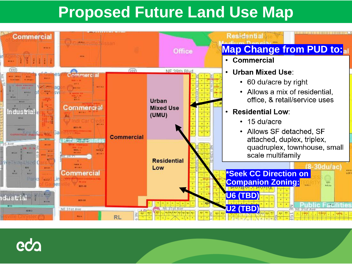#### **Proposed Future Land Use Map**



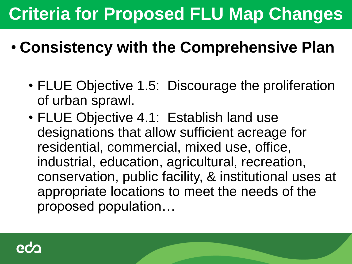#### • **Consistency with the Comprehensive Plan**

- FLUE Objective 1.5: Discourage the proliferation of urban sprawl.
- FLUE Objective 4.1: Establish land use designations that allow sufficient acreage for residential, commercial, mixed use, office, industrial, education, agricultural, recreation, conservation, public facility, & institutional uses at appropriate locations to meet the needs of the proposed population…

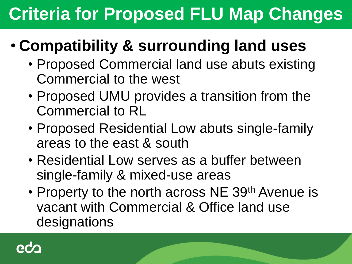#### • **Compatibility & surrounding land uses**

- Proposed Commercial land use abuts existing Commercial to the west
- Proposed UMU provides a transition from the Commercial to RL
- Proposed Residential Low abuts single-family areas to the east & south
- Residential Low serves as a buffer between single-family & mixed-use areas
- Property to the north across NE 39<sup>th</sup> Avenue is vacant with Commercial & Office land use designations

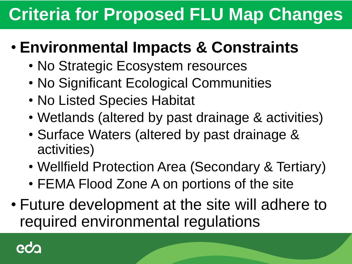#### • **Environmental Impacts & Constraints**

- No Strategic Ecosystem resources
- No Significant Ecological Communities
- No Listed Species Habitat
- Wetlands (altered by past drainage & activities)
- Surface Waters (altered by past drainage & activities)
- Wellfield Protection Area (Secondary & Tertiary)
- FEMA Flood Zone A on portions of the site
- Future development at the site will adhere to required environmental regulations

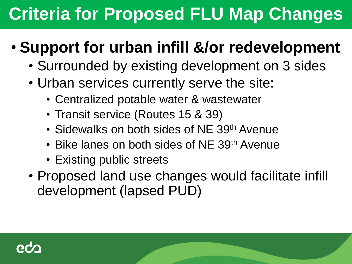#### • **Support for urban infill &/or redevelopment**

- Surrounded by existing development on 3 sides
- Urban services currently serve the site:
	- Centralized potable water & wastewater
	- Transit service (Routes 15 & 39)
	- Sidewalks on both sides of NE 39<sup>th</sup> Avenue
	- Bike lanes on both sides of NE 39<sup>th</sup> Avenue
	- Existing public streets
- Proposed land use changes would facilitate infill development (lapsed PUD)

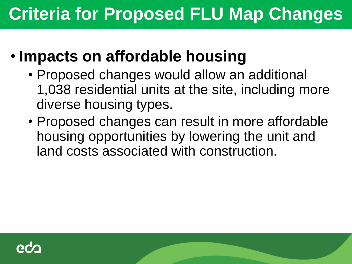#### • **Impacts on affordable housing**

- Proposed changes would allow an additional 1,038 residential units at the site, including more diverse housing types.
- Proposed changes can result in more affordable housing opportunities by lowering the unit and land costs associated with construction.

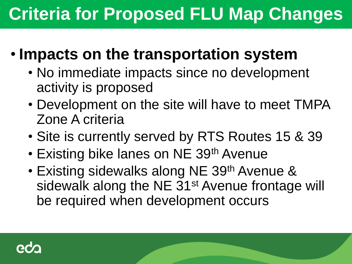#### • **Impacts on the transportation system**

- No immediate impacts since no development activity is proposed
- Development on the site will have to meet TMPA Zone A criteria
- Site is currently served by RTS Routes 15 & 39
- Existing bike lanes on NE 39<sup>th</sup> Avenue
- Existing sidewalks along NE 39<sup>th</sup> Avenue & sidewalk along the NE 31<sup>st</sup> Avenue frontage will be required when development occurs

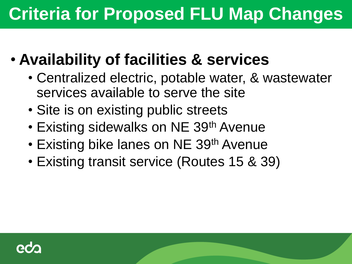- **Availability of facilities & services**
	- Centralized electric, potable water, & wastewater services available to serve the site
	- Site is on existing public streets
	- Existing sidewalks on NE 39<sup>th</sup> Avenue
	- Existing bike lanes on NE 39<sup>th</sup> Avenue
	- Existing transit service (Routes 15 & 39)

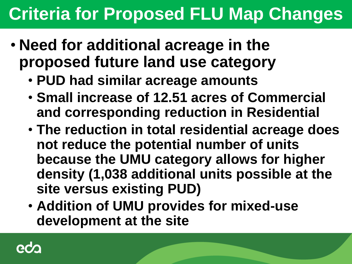- **Need for additional acreage in the proposed future land use category**
	- **PUD had similar acreage amounts**
	- **Small increase of 12.51 acres of Commercial and corresponding reduction in Residential**
	- **The reduction in total residential acreage does not reduce the potential number of units because the UMU category allows for higher density (1,038 additional units possible at the site versus existing PUD)**
	- **Addition of UMU provides for mixed-use development at the site**

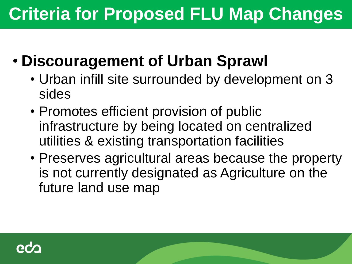- **Discouragement of Urban Sprawl**
	- Urban infill site surrounded by development on 3 sides
	- Promotes efficient provision of public infrastructure by being located on centralized utilities & existing transportation facilities
	- Preserves agricultural areas because the property is not currently designated as Agriculture on the future land use map

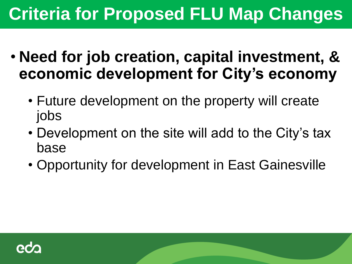- **Need for job creation, capital investment, & economic development for City's economy**
	- Future development on the property will create jobs
	- Development on the site will add to the City's tax base
	- Opportunity for development in East Gainesville

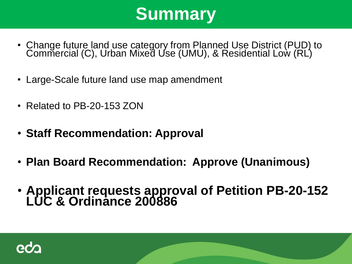#### **Summary**

- Change future land use category from Planned Use District (PUD) to Commercial (C), Urban Mixed Use (UMU), & Residential Low (RL)
- Large-Scale future land use map amendment
- Related to PB-20-153 ZON
- **Staff Recommendation: Approval**
- **Plan Board Recommendation: Approve (Unanimous)**
- **Applicant requests approval of Petition PB-20-152 LUC & Ordinance 200886**

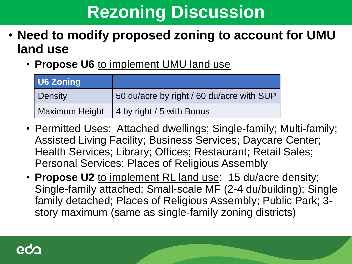### **Rezoning Discussion**

- **Need to modify proposed zoning to account for UMU land use** 
	- **Propose U6** to implement UMU land use

| <b>U6 Zoning</b> |                                           |
|------------------|-------------------------------------------|
| Density          | 50 du/acre by right / 60 du/acre with SUP |
| Maximum Height   | 4 by right / 5 with Bonus                 |

- Permitted Uses: Attached dwellings; Single-family; Multi-family; Assisted Living Facility; Business Services; Daycare Center; Health Services; Library; Offices; Restaurant; Retail Sales; Personal Services; Places of Religious Assembly
- **Propose U2** to implement RL land use: 15 du/acre density; Single-family attached; Small-scale MF (2-4 du/building); Single family detached; Places of Religious Assembly; Public Park; 3 story maximum (same as single-family zoning districts)